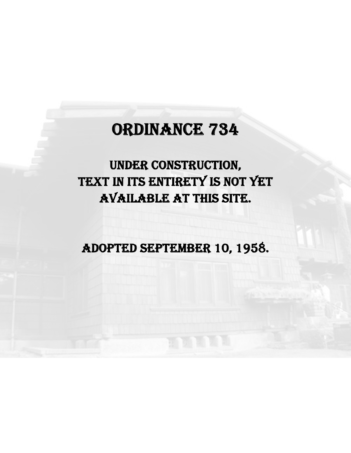## ORDINANCE 734

## UNDER CONSTRUCTION, TEXT IN ITS ENTIRETY IS NOT YET AVAILABLE AT THIS SITE.

ADOPTED SEPTEMBER 10, 1958.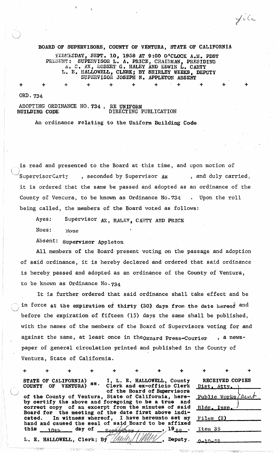BOARD OF SUPERVISORS, COUNTY OF VENTURA, STATE OF CALIFORNIA WILDEEDAY, SEPT. 10, 1958 AT 9:00 O'CLOCK A.M. PDST PRESIDIT: SUPERVISOR L. A. PRICE, CHAIRMAN. PRESIDING PRLEUNT: SUPERVISOR L. A. PRICE, CHAIRMAN, PRESIDING  $A$ . C. AX, ROBERT G. HALEY AND EDWIN L. CARTY I•• E. HALLOWELL, CLERK; BY SHIRLEY WEEKS, DEPUTY SUPERVISOR JOSEPH N. APPLETON ABSENT

+ + + + + + . + + + +

file

ORD.734

+

ADOPTING ORDINANCE NO. 734, RE UNIFORM<br>DIRECTING I DIRECTING PUBLICATION

An ordinance relating to the Uniform Building Code

is read and presented to the Board at this time, and upon motion of Supervisor Carty , seconded by Supervisor  $Ax$ , and duly carried, it is ordered that the same be passed and adopted as an ordinance of the County of Ventura, to be known as Ordinance No.734 . Upon the roll being called, the members of the Board voted as follows:

Ayes: Supervisor AX, HALEY, CARTY AND PRICE

Noes: None

Absent: Supervisor Appleton

All members of the Board present voting on the passage and adoption of said ordinance, it is hereby declared and ordered that said ordinance is hereby passed and adopted as an ordinance of the County of Ventura, to be known as Ordinance No.734

It is further ordered that said ordinance shall take effect and be in force at the expiration of thirty (30) days from the date hereof and before the expiration of fifteen (15) days the same shall be published, with the names of the members of the Board of Supervisors voting for and against the same, at least once in the oxnard Press-Courier , a newspaper of general circulation printed and published in the County of Ventura, State of California.

|                                                                                                                                                                    | $\ddot{}$ |  |  | $+$                                                                                                                                                                                                                                                                                                                                             | $+$ |  |         |                                     |                 |  |
|--------------------------------------------------------------------------------------------------------------------------------------------------------------------|-----------|--|--|-------------------------------------------------------------------------------------------------------------------------------------------------------------------------------------------------------------------------------------------------------------------------------------------------------------------------------------------------|-----|--|---------|-------------------------------------|-----------------|--|
| STATE OF CALIFORNIA)<br>COUNTY OF VENTURA) SS.                                                                                                                     |           |  |  | I, L. E. HALLOWELL, County<br>Clerk and ex-officio Clerk<br>of the Board of Supervisors                                                                                                                                                                                                                                                         |     |  |         | Dist. Attv. )                       | RECEIVED COPIES |  |
| of the County of Ventura, State of California, here-<br>by certify the above and foregoing to be a true and<br>correct copy of an excerpt from the minutes of said |           |  |  |                                                                                                                                                                                                                                                                                                                                                 |     |  |         | Public Works Clent<br>Bldg. Insp. J |                 |  |
|                                                                                                                                                                    |           |  |  | Board for the meeting of the date first above indi-<br>cated. In witness whereof, I have hereunto set my<br>hand and caused the seal of said Board to be affixed                                                                                                                                                                                |     |  |         | Files (2)                           |                 |  |
|                                                                                                                                                                    |           |  |  | this $_{10+b}$ day of $_{500+\frac{1}{2000+\frac{1}{2000+\frac{1}{2000+\frac{1}{2000+\frac{1}{2000+\frac{1}{2000+\frac{1}{2000+\frac{1}{2000+\frac{1}{2000+\frac{1}{2000+\frac{1}{2000+\frac{1}{2000+\frac{1}{2000+\frac{1}{2000+\frac{1}{2000+\frac{1}{2000+\frac{1}{2000+\frac{1}{2000+\frac{1}{2000+\frac{1}{2000+\frac{1}{2000+\frac{1}{20$ |     |  |         | Xtem 35                             |                 |  |
|                                                                                                                                                                    |           |  |  | L. E. HALLOWELL, Clerk; By Multe //////                                                                                                                                                                                                                                                                                                         |     |  | Deputy. | 0.50 m                              |                 |  |